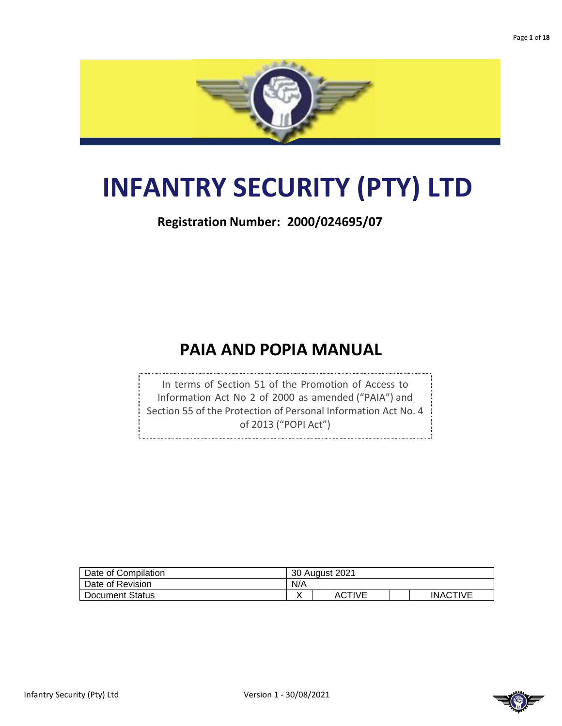

# **INFANTRY SECURITY (PTY) LTD**

**Registration Number: 2000/024695/07**

## **PAIA AND POPIA MANUAL**

In terms of Section 51 of the Promotion of Access to Information Act No 2 of 2000 as amended ("PAIA") and Section 55 of the Protection of Personal Information Act No. 4 of 2013 ("POPI Act")

| Date of Compilation    | 30 August 2021 |        |  |                 |
|------------------------|----------------|--------|--|-----------------|
| Date of Revision       | N/A            |        |  |                 |
| <b>Document Status</b> |                | ACTIVE |  | <b>INACTIVE</b> |

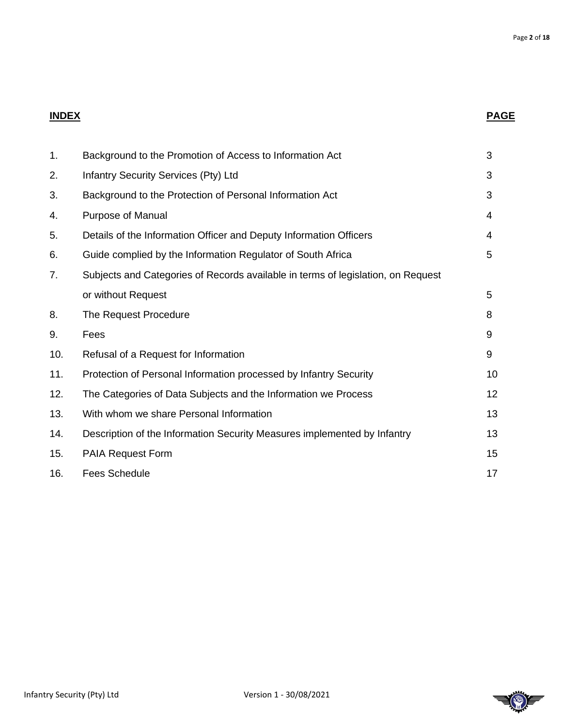### **INDEX PAGE**

| 1.  | Background to the Promotion of Access to Information Act                         | 3  |
|-----|----------------------------------------------------------------------------------|----|
| 2.  | Infantry Security Services (Pty) Ltd                                             | 3  |
| 3.  | Background to the Protection of Personal Information Act                         | 3  |
| 4.  | Purpose of Manual                                                                | 4  |
| 5.  | Details of the Information Officer and Deputy Information Officers               | 4  |
| 6.  | Guide complied by the Information Regulator of South Africa                      | 5  |
| 7.  | Subjects and Categories of Records available in terms of legislation, on Request |    |
|     | or without Request                                                               | 5  |
| 8.  | The Request Procedure                                                            | 8  |
| 9.  | Fees                                                                             | 9  |
| 10. | Refusal of a Request for Information                                             | 9  |
| 11. | Protection of Personal Information processed by Infantry Security                | 10 |
| 12. | The Categories of Data Subjects and the Information we Process                   | 12 |
| 13. | With whom we share Personal Information                                          | 13 |
| 14. | Description of the Information Security Measures implemented by Infantry         | 13 |
| 15. | PAIA Request Form                                                                | 15 |
| 16. | <b>Fees Schedule</b>                                                             | 17 |
|     |                                                                                  |    |

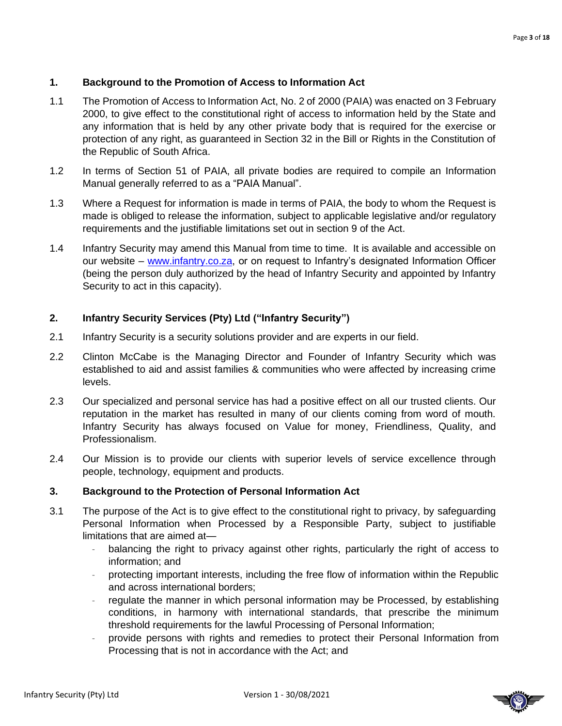### **1. Background to the Promotion of Access to Information Act**

- 1.1 The Promotion of Access to Information Act, No. 2 of 2000 (PAIA) was enacted on 3 February 2000, to give effect to the constitutional right of access to information held by the State and any information that is held by any other private body that is required for the exercise or protection of any right, as guaranteed in Section 32 in the Bill or Rights in the Constitution of the Republic of South Africa.
- 1.2 In terms of Section 51 of PAIA, all private bodies are required to compile an Information Manual generally referred to as a "PAIA Manual".
- 1.3 Where a Request for information is made in terms of PAIA, the body to whom the Request is made is obliged to release the information, subject to applicable legislative and/or regulatory requirements and the justifiable limitations set out in section 9 of the Act.
- 1.4 Infantry Security may amend this Manual from time to time. It is available and accessible on our website – [www.infantry.co.za,](http://www.infantry.co.za/) or on request to Infantry's designated Information Officer (being the person duly authorized by the head of Infantry Security and appointed by Infantry Security to act in this capacity).

### **2. Infantry Security Services (Pty) Ltd ("Infantry Security")**

- 2.1 Infantry Security is a security solutions provider and are experts in our field.
- 2.2 Clinton McCabe is the Managing Director and Founder of Infantry Security which was established to aid and assist families & communities who were affected by increasing crime levels.
- 2.3 Our specialized and personal service has had a positive effect on all our trusted clients. Our reputation in the market has resulted in many of our clients coming from word of mouth. Infantry Security has always focused on Value for money, Friendliness, Quality, and Professionalism.
- 2.4 Our Mission is to provide our clients with superior levels of service excellence through people, technology, equipment and products.

### **3. Background to the Protection of Personal Information Act**

- 3.1 The purpose of the Act is to give effect to the constitutional right to privacy, by safeguarding Personal Information when Processed by a Responsible Party, subject to justifiable limitations that are aimed at—
	- balancing the right to privacy against other rights, particularly the right of access to information; and
	- protecting important interests, including the free flow of information within the Republic and across international borders;
	- regulate the manner in which personal information may be Processed, by establishing conditions, in harmony with international standards, that prescribe the minimum threshold requirements for the lawful Processing of Personal Information;
	- provide persons with rights and remedies to protect their Personal Information from Processing that is not in accordance with the Act; and

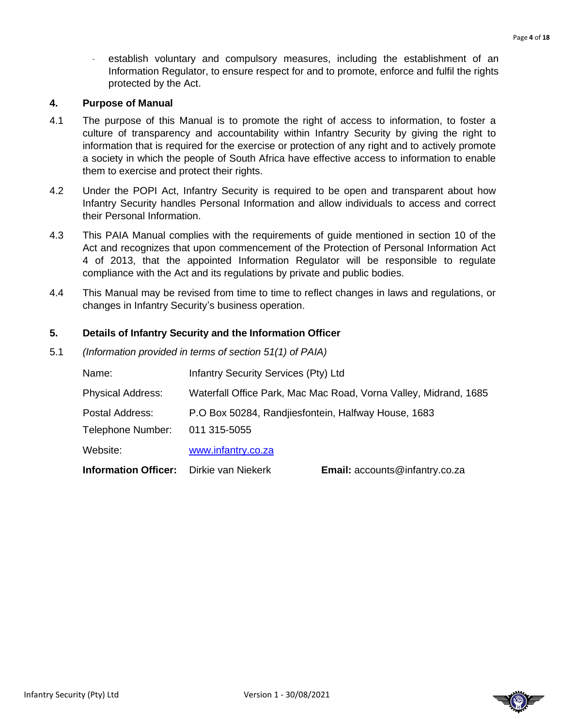establish voluntary and compulsory measures, including the establishment of an Information Regulator, to ensure respect for and to promote, enforce and fulfil the rights protected by the Act.

### **4. Purpose of Manual**

- 4.1 The purpose of this Manual is to promote the right of access to information, to foster a culture of transparency and accountability within Infantry Security by giving the right to information that is required for the exercise or protection of any right and to actively promote a society in which the people of South Africa have effective access to information to enable them to exercise and protect their rights.
- 4.2 Under the POPI Act, Infantry Security is required to be open and transparent about how Infantry Security handles Personal Information and allow individuals to access and correct their Personal Information.
- 4.3 This PAIA Manual complies with the requirements of guide mentioned in section 10 of the Act and recognizes that upon commencement of the Protection of Personal Information Act 4 of 2013, that the appointed Information Regulator will be responsible to regulate compliance with the Act and its regulations by private and public bodies.
- 4.4 This Manual may be revised from time to time to reflect changes in laws and regulations, or changes in Infantry Security's business operation.

### **5. Details of Infantry Security and the Information Officer**

5.1 *(Information provided in terms of section 51(1) of PAIA)*

| Name:                                          | Infantry Security Services (Pty) Ltd                             |                                |  |
|------------------------------------------------|------------------------------------------------------------------|--------------------------------|--|
| <b>Physical Address:</b>                       | Waterfall Office Park, Mac Mac Road, Vorna Valley, Midrand, 1685 |                                |  |
| Postal Address:<br>Telephone Number:           | P.O Box 50284, Randjiesfontein, Halfway House, 1683              |                                |  |
|                                                | 011 315-5055                                                     |                                |  |
| Website:                                       | www.infantry.co.za                                               |                                |  |
| <b>Information Officer:</b> Dirkie van Niekerk |                                                                  | Email: accounts@infantry.co.za |  |

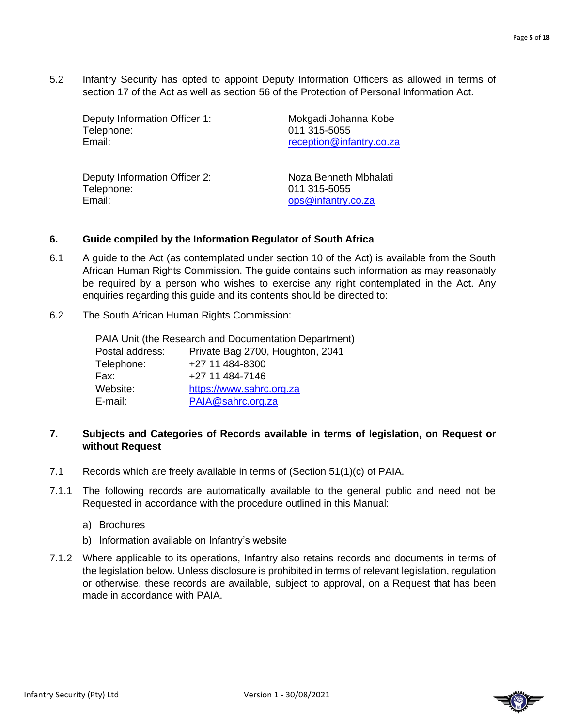5.2 Infantry Security has opted to appoint Deputy Information Officers as allowed in terms of section 17 of the Act as well as section 56 of the Protection of Personal Information Act.

Deputy Information Officer 1: Mokgadi Johanna Kobe Telephone: 011 315-5055 Email: Email: [reception@infantry.co.za](mailto:reception@infantry.co.za)

Deputy Information Officer 2: Noza Benneth Mbhalati Telephone: 011 315-5055 Email: example and the contract of the contract of the contract of the contract of the contract of the contract of the contract of the contract of the contract of the contract of the contract of the contract of the contrac

### **6. Guide compiled by the Information Regulator of South Africa**

- 6.1 A guide to the Act (as contemplated under section 10 of the Act) is available from the South African Human Rights Commission. The guide contains such information as may reasonably be required by a person who wishes to exercise any right contemplated in the Act. Any enquiries regarding this guide and its contents should be directed to:
- 6.2 The South African Human Rights Commission:

|                 | PAIA Unit (the Research and Documentation Department) |
|-----------------|-------------------------------------------------------|
| Postal address: | Private Bag 2700, Houghton, 2041                      |
| Telephone:      | +27 11 484-8300                                       |
| Fax:            | +27 11 484-7146                                       |
| Website:        | https://www.sahrc.org.za                              |
| E-mail:         | PAIA@sahrc.org.za                                     |

### **7. Subjects and Categories of Records available in terms of legislation, on Request or without Request**

- 7.1 Records which are freely available in terms of (Section 51(1)(c) of PAIA.
- 7.1.1 The following records are automatically available to the general public and need not be Requested in accordance with the procedure outlined in this Manual:
	- a) Brochures
	- b) Information available on Infantry's website
- 7.1.2 Where applicable to its operations, Infantry also retains records and documents in terms of the legislation below. Unless disclosure is prohibited in terms of relevant legislation, regulation or otherwise, these records are available, subject to approval, on a Request that has been made in accordance with PAIA.





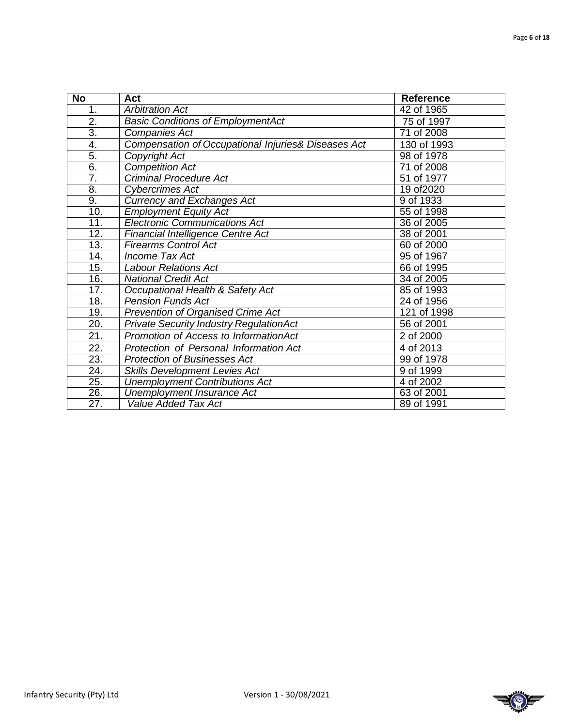| $\overline{N}$    | Act                                                 | <b>Reference</b>        |
|-------------------|-----------------------------------------------------|-------------------------|
| 1.                | <b>Arbitration Act</b>                              | 42 of 1965              |
| 2.                | <b>Basic Conditions of EmploymentAct</b>            | 75 of 1997              |
| $\overline{3}$ .  | Companies Act                                       | 71 of 2008              |
| 4.                | Compensation of Occupational Injuries& Diseases Act | 130 of 1993             |
| 5.                | Copyright Act                                       | 98 of 1978              |
| $\overline{6}$ .  | <b>Competition Act</b>                              | $\overline{71}$ of 2008 |
| $\overline{7}$ .  | <b>Criminal Procedure Act</b>                       | 51 of 1977              |
| 8.                | Cybercrimes Act                                     | 19 of 2020              |
| 9.                | <b>Currency and Exchanges Act</b>                   | 9 of 1933               |
| 10.               | <b>Employment Equity Act</b>                        | 55 of 1998              |
| $\overline{11}$ . | <b>Electronic Communications Act</b>                | 36 of 2005              |
| $\overline{12}$ . | <b>Financial Intelligence Centre Act</b>            | 38 of 2001              |
| 13.               | <b>Firearms Control Act</b>                         | 60 of 2000              |
| $\overline{14}$ . | <b>Income Tax Act</b>                               | 95 of 1967              |
| 15.               | <b>Labour Relations Act</b>                         | 66 of 1995              |
| 16.               | <b>National Credit Act</b>                          | 34 of 2005              |
| 17.               | Occupational Health & Safety Act                    | 85 of 1993              |
| 18.               | <b>Pension Funds Act</b>                            | 24 of 1956              |
| 19.               | <b>Prevention of Organised Crime Act</b>            | 121 of 1998             |
| 20.               | <b>Private Security Industry RegulationAct</b>      | 56 of 2001              |
| 21.               | Promotion of Access to InformationAct               | 2 of 2000               |
| 22.               | Protection of Personal Information Act              | 4 of 2013               |
| $\overline{23}$ . | <b>Protection of Businesses Act</b>                 | 99 of 1978              |
| $\overline{24}$ . | <b>Skills Development Levies Act</b>                | 9 of 1999               |
| $\overline{25}$ . | <b>Unemployment Contributions Act</b>               | 4 of 2002               |
| 26.               | Unemployment Insurance Act                          | 63 of 2001              |
| $\overline{27}$ . | <b>Value Added Tax Act</b>                          | 89 of 1991              |

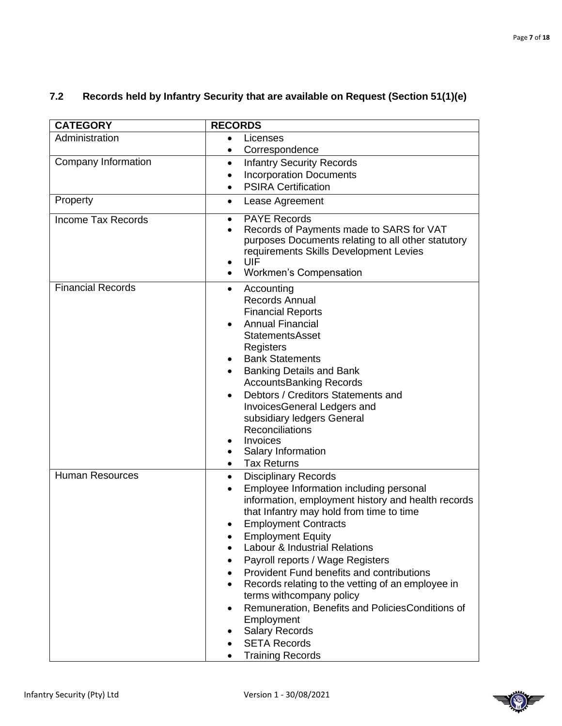| <b>CATEGORY</b>           | <b>RECORDS</b>                                                                                                                                                                                                                                                                                                                                                                                                                                                                                                                                                                                                                                        |
|---------------------------|-------------------------------------------------------------------------------------------------------------------------------------------------------------------------------------------------------------------------------------------------------------------------------------------------------------------------------------------------------------------------------------------------------------------------------------------------------------------------------------------------------------------------------------------------------------------------------------------------------------------------------------------------------|
| Administration            | Licenses<br>$\bullet$                                                                                                                                                                                                                                                                                                                                                                                                                                                                                                                                                                                                                                 |
|                           | Correspondence                                                                                                                                                                                                                                                                                                                                                                                                                                                                                                                                                                                                                                        |
| Company Information       | <b>Infantry Security Records</b><br>$\bullet$                                                                                                                                                                                                                                                                                                                                                                                                                                                                                                                                                                                                         |
|                           | <b>Incorporation Documents</b>                                                                                                                                                                                                                                                                                                                                                                                                                                                                                                                                                                                                                        |
|                           | <b>PSIRA Certification</b>                                                                                                                                                                                                                                                                                                                                                                                                                                                                                                                                                                                                                            |
| Property                  | Lease Agreement<br>$\bullet$                                                                                                                                                                                                                                                                                                                                                                                                                                                                                                                                                                                                                          |
| <b>Income Tax Records</b> | <b>PAYE Records</b><br>$\bullet$<br>Records of Payments made to SARS for VAT<br>purposes Documents relating to all other statutory<br>requirements Skills Development Levies<br>UIF<br>$\bullet$<br><b>Workmen's Compensation</b>                                                                                                                                                                                                                                                                                                                                                                                                                     |
| <b>Financial Records</b>  | Accounting<br>$\bullet$<br><b>Records Annual</b><br><b>Financial Reports</b><br><b>Annual Financial</b><br><b>StatementsAsset</b><br>Registers<br><b>Bank Statements</b><br><b>Banking Details and Bank</b><br><b>AccountsBanking Records</b><br>Debtors / Creditors Statements and<br>$\bullet$<br>InvoicesGeneral Ledgers and<br>subsidiary ledgers General<br>Reconciliations<br>Invoices<br>$\bullet$<br>Salary Information<br>$\bullet$<br><b>Tax Returns</b><br>$\bullet$                                                                                                                                                                       |
| <b>Human Resources</b>    | <b>Disciplinary Records</b><br>$\bullet$<br>Employee Information including personal<br>$\bullet$<br>information, employment history and health records<br>that Infantry may hold from time to time<br><b>Employment Contracts</b><br><b>Employment Equity</b><br>Labour & Industrial Relations<br>Payroll reports / Wage Registers<br>$\bullet$<br>Provident Fund benefits and contributions<br>$\bullet$<br>Records relating to the vetting of an employee in<br>$\bullet$<br>terms withcompany policy<br>Remuneration, Benefits and Policies Conditions of<br>Employment<br><b>Salary Records</b><br><b>SETA Records</b><br><b>Training Records</b> |

### **7.2 Records held by Infantry Security that are available on Request (Section 51(1)(e)**

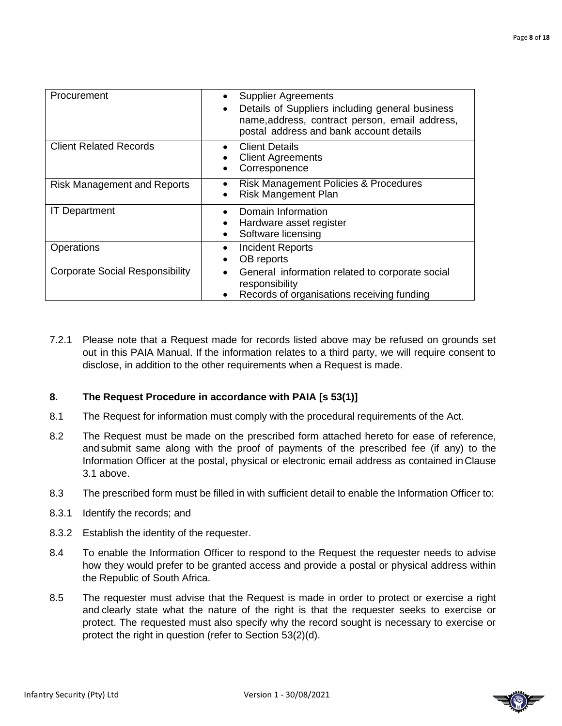| Procurement                            | <b>Supplier Agreements</b><br>Details of Suppliers including general business<br>$\bullet$<br>name, address, contract person, email address,<br>postal address and bank account details |
|----------------------------------------|-----------------------------------------------------------------------------------------------------------------------------------------------------------------------------------------|
| <b>Client Related Records</b>          | <b>Client Details</b><br><b>Client Agreements</b><br>Corresponence                                                                                                                      |
| <b>Risk Management and Reports</b>     | <b>Risk Management Policies &amp; Procedures</b><br><b>Risk Mangement Plan</b>                                                                                                          |
| <b>IT Department</b>                   | Domain Information<br>Hardware asset register<br>Software licensing                                                                                                                     |
| Operations                             | <b>Incident Reports</b><br>٠<br>OB reports                                                                                                                                              |
| <b>Corporate Social Responsibility</b> | General information related to corporate social<br>$\bullet$<br>responsibility<br>Records of organisations receiving funding                                                            |

7.2.1 Please note that a Request made for records listed above may be refused on grounds set out in this PAIA Manual. If the information relates to a third party, we will require consent to disclose, in addition to the other requirements when a Request is made.

### **8. The Request Procedure in accordance with PAIA [s 53(1)]**

- 8.1 The Request for information must comply with the procedural requirements of the Act.
- 8.2 The Request must be made on the prescribed form attached hereto for ease of reference, and submit same along with the proof of payments of the prescribed fee (if any) to the Information Officer at the postal, physical or electronic email address as contained in Clause 3.1 above.
- 8.3 The prescribed form must be filled in with sufficient detail to enable the Information Officer to:
- 8.3.1 Identify the records; and
- 8.3.2 Establish the identity of the requester.
- 8.4 To enable the Information Officer to respond to the Request the requester needs to advise how they would prefer to be granted access and provide a postal or physical address within the Republic of South Africa.
- 8.5 The requester must advise that the Request is made in order to protect or exercise a right and clearly state what the nature of the right is that the requester seeks to exercise or protect. The requested must also specify why the record sought is necessary to exercise or protect the right in question (refer to Section 53(2)(d).

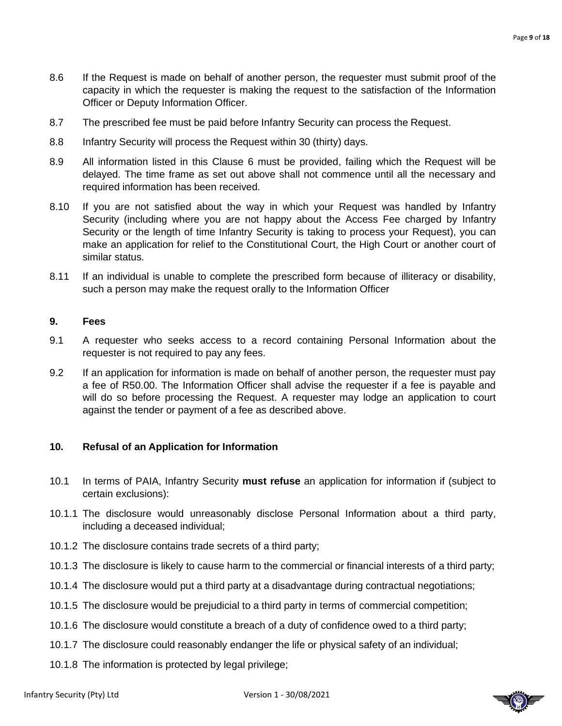- 8.6 If the Request is made on behalf of another person, the requester must submit proof of the capacity in which the requester is making the request to the satisfaction of the Information Officer or Deputy Information Officer.
- 8.7 The prescribed fee must be paid before Infantry Security can process the Request.
- 8.8 Infantry Security will process the Request within 30 (thirty) days.
- 8.9 All information listed in this Clause 6 must be provided, failing which the Request will be delayed. The time frame as set out above shall not commence until all the necessary and required information has been received.
- 8.10 If you are not satisfied about the way in which your Request was handled by Infantry Security (including where you are not happy about the Access Fee charged by Infantry Security or the length of time Infantry Security is taking to process your Request), you can make an application for relief to the Constitutional Court, the High Court or another court of similar status.
- 8.11 If an individual is unable to complete the prescribed form because of illiteracy or disability, such a person may make the request orally to the Information Officer

### **9. Fees**

- 9.1 A requester who seeks access to a record containing Personal Information about the requester is not required to pay any fees.
- 9.2 If an application for information is made on behalf of another person, the requester must pay a fee of R50.00. The Information Officer shall advise the requester if a fee is payable and will do so before processing the Request. A requester may lodge an application to court against the tender or payment of a fee as described above.

### **10. Refusal of an Application for Information**

- 10.1 In terms of PAIA, Infantry Security **must refuse** an application for information if (subject to certain exclusions):
- 10.1.1 The disclosure would unreasonably disclose Personal Information about a third party, including a deceased individual;
- 10.1.2 The disclosure contains trade secrets of a third party;
- 10.1.3 The disclosure is likely to cause harm to the commercial or financial interests of a third party;
- 10.1.4 The disclosure would put a third party at a disadvantage during contractual negotiations;
- 10.1.5 The disclosure would be prejudicial to a third party in terms of commercial competition;
- 10.1.6 The disclosure would constitute a breach of a duty of confidence owed to a third party;
- 10.1.7 The disclosure could reasonably endanger the life or physical safety of an individual;
- 10.1.8 The information is protected by legal privilege;

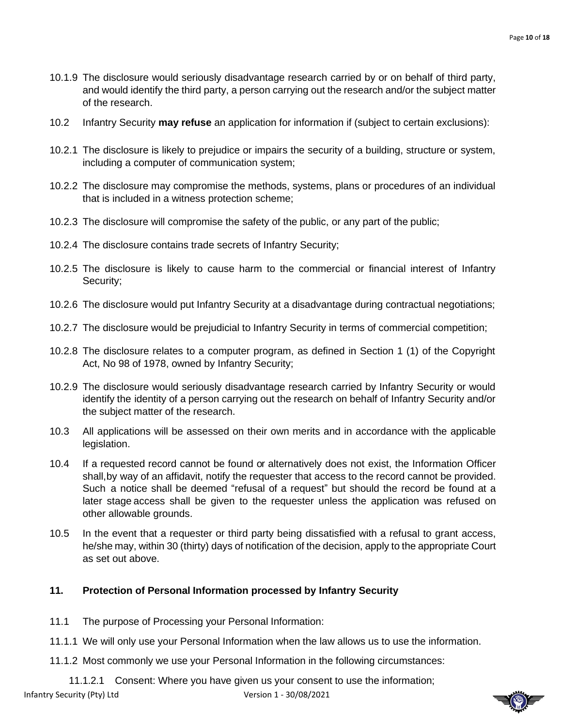- 10.1.9 The disclosure would seriously disadvantage research carried by or on behalf of third party, and would identify the third party, a person carrying out the research and/or the subject matter of the research.
- 10.2 Infantry Security **may refuse** an application for information if (subject to certain exclusions):
- 10.2.1 The disclosure is likely to prejudice or impairs the security of a building, structure or system, including a computer of communication system;
- 10.2.2 The disclosure may compromise the methods, systems, plans or procedures of an individual that is included in a witness protection scheme;
- 10.2.3 The disclosure will compromise the safety of the public, or any part of the public;
- 10.2.4 The disclosure contains trade secrets of Infantry Security;
- 10.2.5 The disclosure is likely to cause harm to the commercial or financial interest of Infantry Security;
- 10.2.6 The disclosure would put Infantry Security at a disadvantage during contractual negotiations;
- 10.2.7 The disclosure would be prejudicial to Infantry Security in terms of commercial competition;
- 10.2.8 The disclosure relates to a computer program, as defined in Section 1 (1) of the Copyright Act, No 98 of 1978, owned by Infantry Security;
- 10.2.9 The disclosure would seriously disadvantage research carried by Infantry Security or would identify the identity of a person carrying out the research on behalf of Infantry Security and/or the subject matter of the research.
- 10.3 All applications will be assessed on their own merits and in accordance with the applicable legislation.
- 10.4 If a requested record cannot be found or alternatively does not exist, the Information Officer shall,by way of an affidavit, notify the requester that access to the record cannot be provided. Such a notice shall be deemed "refusal of a request" but should the record be found at a later stage access shall be given to the requester unless the application was refused on other allowable grounds.
- 10.5 In the event that a requester or third party being dissatisfied with a refusal to grant access, he/she may, within 30 (thirty) days of notification of the decision, apply to the appropriate Court as set out above.

### **11. Protection of Personal Information processed by Infantry Security**

- 11.1 The purpose of Processing your Personal Information:
- 11.1.1 We will only use your Personal Information when the law allows us to use the information.
- 11.1.2 Most commonly we use your Personal Information in the following circumstances:

Infantry Security (Pty) Ltd Version 1 - 30/08/2021 11.1.2.1 Consent: Where you have given us your consent to use the information;

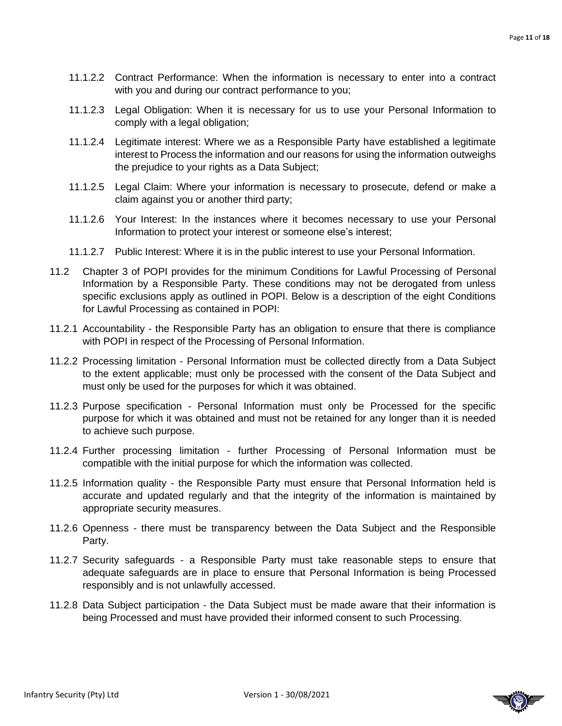- 11.1.2.2 Contract Performance: When the information is necessary to enter into a contract with you and during our contract performance to you;
- 11.1.2.3 Legal Obligation: When it is necessary for us to use your Personal Information to comply with a legal obligation;
- 11.1.2.4 Legitimate interest: Where we as a Responsible Party have established a legitimate interest to Process the information and our reasons for using the information outweighs the prejudice to your rights as a Data Subject;
- 11.1.2.5 Legal Claim: Where your information is necessary to prosecute, defend or make a claim against you or another third party;
- 11.1.2.6 Your Interest: In the instances where it becomes necessary to use your Personal Information to protect your interest or someone else's interest;
- 11.1.2.7 Public Interest: Where it is in the public interest to use your Personal Information.
- 11.2 Chapter 3 of POPI provides for the minimum Conditions for Lawful Processing of Personal Information by a Responsible Party. These conditions may not be derogated from unless specific exclusions apply as outlined in POPI. Below is a description of the eight Conditions for Lawful Processing as contained in POPI:
- 11.2.1 Accountability the Responsible Party has an obligation to ensure that there is compliance with POPI in respect of the Processing of Personal Information.
- 11.2.2 Processing limitation Personal Information must be collected directly from a Data Subject to the extent applicable; must only be processed with the consent of the Data Subject and must only be used for the purposes for which it was obtained.
- 11.2.3 Purpose specification Personal Information must only be Processed for the specific purpose for which it was obtained and must not be retained for any longer than it is needed to achieve such purpose.
- 11.2.4 Further processing limitation further Processing of Personal Information must be compatible with the initial purpose for which the information was collected.
- 11.2.5 Information quality the Responsible Party must ensure that Personal Information held is accurate and updated regularly and that the integrity of the information is maintained by appropriate security measures.
- 11.2.6 Openness there must be transparency between the Data Subject and the Responsible Party.
- 11.2.7 Security safeguards a Responsible Party must take reasonable steps to ensure that adequate safeguards are in place to ensure that Personal Information is being Processed responsibly and is not unlawfully accessed.
- 11.2.8 Data Subject participation the Data Subject must be made aware that their information is being Processed and must have provided their informed consent to such Processing.

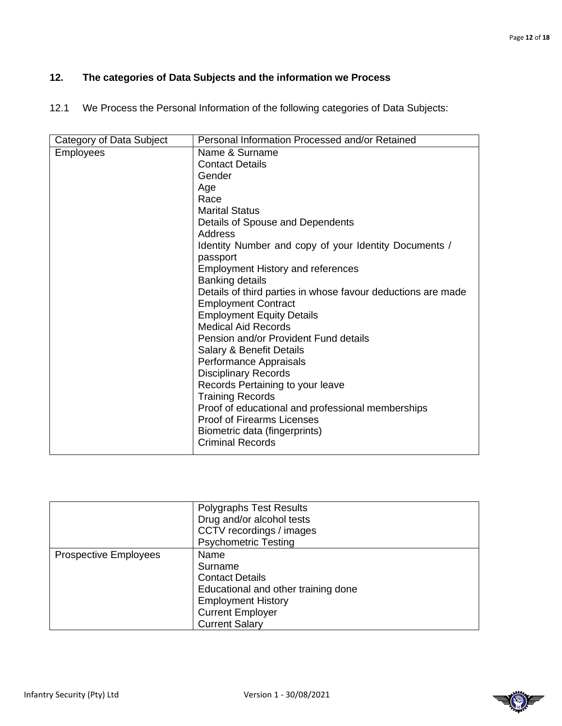### **12. The categories of Data Subjects and the information we Process**

12.1 We Process the Personal Information of the following categories of Data Subjects:

| Category of Data Subject | Personal Information Processed and/or Retained                                             |
|--------------------------|--------------------------------------------------------------------------------------------|
| <b>Employees</b>         | Name & Surname                                                                             |
|                          | <b>Contact Details</b>                                                                     |
|                          | Gender                                                                                     |
|                          | Age                                                                                        |
|                          | Race                                                                                       |
|                          | <b>Marital Status</b>                                                                      |
|                          | Details of Spouse and Dependents                                                           |
|                          | Address                                                                                    |
|                          | Identity Number and copy of your Identity Documents /<br>passport                          |
|                          | <b>Employment History and references</b>                                                   |
|                          | Banking details                                                                            |
|                          | Details of third parties in whose favour deductions are made<br><b>Employment Contract</b> |
|                          | <b>Employment Equity Details</b>                                                           |
|                          | <b>Medical Aid Records</b>                                                                 |
|                          | Pension and/or Provident Fund details                                                      |
|                          | Salary & Benefit Details                                                                   |
|                          | Performance Appraisals                                                                     |
|                          | <b>Disciplinary Records</b>                                                                |
|                          | Records Pertaining to your leave                                                           |
|                          | <b>Training Records</b>                                                                    |
|                          | Proof of educational and professional memberships                                          |
|                          | <b>Proof of Firearms Licenses</b>                                                          |
|                          | Biometric data (fingerprints)                                                              |
|                          | <b>Criminal Records</b>                                                                    |
|                          |                                                                                            |

| <b>Polygraphs Test Results</b>      |
|-------------------------------------|
| Drug and/or alcohol tests           |
| CCTV recordings / images            |
| <b>Psychometric Testing</b>         |
| Name                                |
| Surname                             |
| <b>Contact Details</b>              |
| Educational and other training done |
| <b>Employment History</b>           |
| <b>Current Employer</b>             |
| <b>Current Salary</b>               |
|                                     |

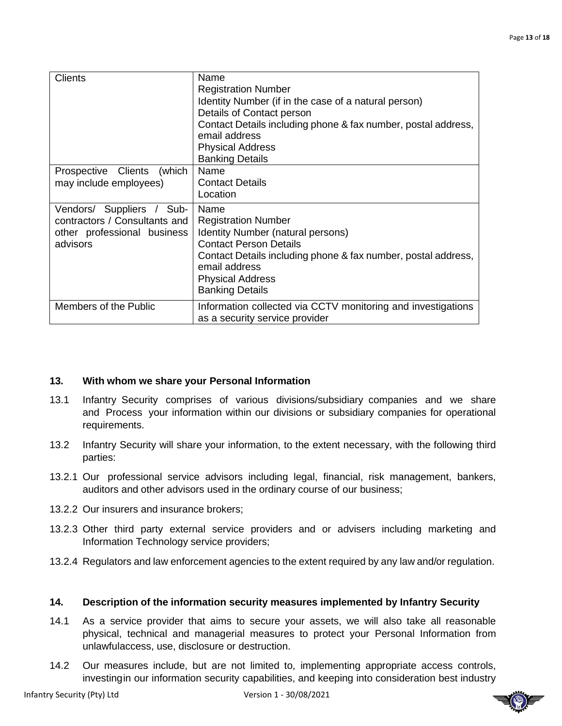| <b>Clients</b>                                                                                          | Name<br><b>Registration Number</b><br>Identity Number (if in the case of a natural person)<br>Details of Contact person<br>Contact Details including phone & fax number, postal address,<br>email address<br><b>Physical Address</b><br><b>Banking Details</b> |
|---------------------------------------------------------------------------------------------------------|----------------------------------------------------------------------------------------------------------------------------------------------------------------------------------------------------------------------------------------------------------------|
| Prospective Clients (which<br>may include employees)                                                    | Name<br><b>Contact Details</b><br>Location                                                                                                                                                                                                                     |
| Vendors/ Suppliers / Sub-<br>contractors / Consultants and I<br>other professional business<br>advisors | Name<br><b>Registration Number</b><br>Identity Number (natural persons)<br><b>Contact Person Details</b><br>Contact Details including phone & fax number, postal address,<br>email address<br><b>Physical Address</b><br><b>Banking Details</b>                |
| Members of the Public                                                                                   | Information collected via CCTV monitoring and investigations<br>as a security service provider                                                                                                                                                                 |

### **13. With whom we share your Personal Information**

- 13.1 Infantry Security comprises of various divisions/subsidiary companies and we share and Process your information within our divisions or subsidiary companies for operational requirements.
- 13.2 Infantry Security will share your information, to the extent necessary, with the following third parties:
- 13.2.1 Our professional service advisors including legal, financial, risk management, bankers, auditors and other advisors used in the ordinary course of our business;
- 13.2.2 Our insurers and insurance brokers;
- 13.2.3 Other third party external service providers and or advisers including marketing and Information Technology service providers;
- 13.2.4 Regulators and law enforcement agencies to the extent required by any law and/or regulation.

### **14. Description of the information security measures implemented by Infantry Security**

- 14.1 As a service provider that aims to secure your assets, we will also take all reasonable physical, technical and managerial measures to protect your Personal Information from unlawfulaccess, use, disclosure or destruction.
- 14.2 Our measures include, but are not limited to, implementing appropriate access controls, investingin our information security capabilities, and keeping into consideration best industry

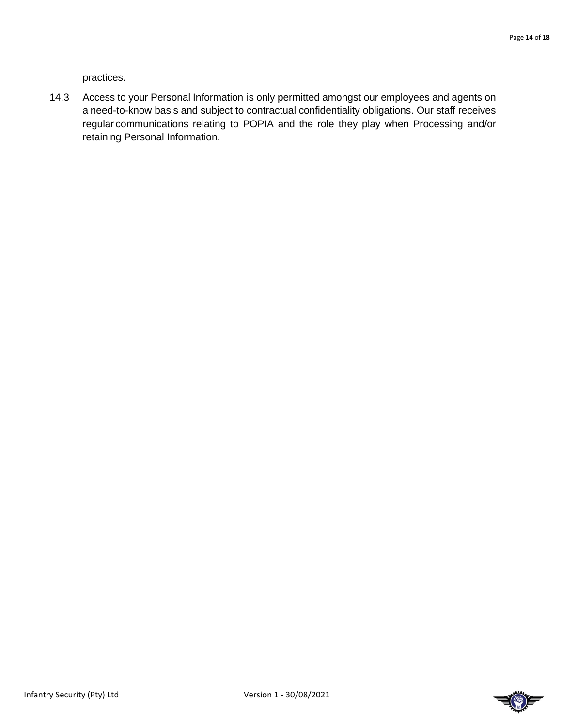practices.

14.3 Access to your Personal Information is only permitted amongst our employees and agents on a need-to-know basis and subject to contractual confidentiality obligations. Our staff receives regular communications relating to POPIA and the role they play when Processing and/or retaining Personal Information.

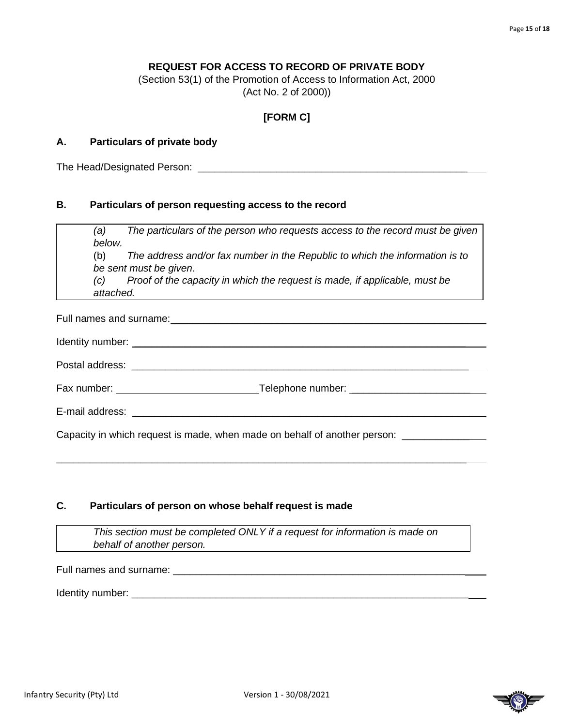### **REQUEST FOR ACCESS TO RECORD OF PRIVATE BODY**

(Section 53(1) of the Promotion of Access to Information Act, 2000 (Act No. 2 of 2000))

### **[FORM C]**

### **A. Particulars of private body**

The Head/Designated Person: **Example 2018** 

### **B. Particulars of person requesting access to the record**

*(a) The particulars of the person who requests access to the record must be given below.*

(b) *The address and/or fax number in the Republic to which the information is to be sent must be given*.

*(c) Proof of the capacity in which the request is made, if applicable, must be attached.*

Full names and surname: \_\_\_\_\_\_\_\_\_\_\_\_\_\_\_\_\_\_\_\_\_\_\_\_\_\_\_\_\_\_\_\_\_\_\_\_\_\_\_\_\_\_\_\_\_\_\_\_\_\_\_\_ Identity number: \_\_\_\_\_\_\_\_\_\_\_\_\_\_\_\_\_\_\_\_\_\_\_\_\_\_\_\_\_\_\_\_\_\_\_\_\_\_\_\_\_\_\_\_\_\_\_\_\_\_\_\_\_\_\_\_\_\_\_

| Postal address: |  |  |  |
|-----------------|--|--|--|
|                 |  |  |  |

Fax number: Telephone number: \_\_\_\_\_\_\_\_\_\_\_\_\_\_\_\_\_\_\_\_\_

E-mail address: \_\_\_\_\_\_\_\_\_\_\_\_\_\_\_\_\_\_\_\_\_\_\_\_\_\_\_\_\_\_\_\_\_\_\_\_\_\_\_\_\_\_\_\_\_\_\_\_\_\_\_\_\_\_\_\_\_\_\_\_

Capacity in which request is made, when made on behalf of another person:

### **C. Particulars of person on whose behalf request is made**

*This section must be completed ONLY if a request for information is made on behalf of another person.*

\_\_\_\_\_\_\_\_\_\_\_\_\_\_\_\_\_\_\_\_\_\_\_\_\_\_\_\_\_\_\_\_\_\_\_\_\_\_\_\_\_\_\_\_\_\_\_\_\_\_\_\_\_\_\_\_\_\_\_\_\_\_\_\_\_\_\_\_\_\_\_\_\_

Full names and surname: \_\_\_\_\_\_\_\_\_\_\_\_\_\_\_\_\_\_\_\_\_\_\_\_\_\_\_\_\_\_\_\_\_\_\_\_\_\_\_\_\_\_\_\_\_\_\_\_\_\_\_\_

Identity number: \_\_\_\_\_\_\_\_\_\_\_\_\_\_\_\_\_\_\_\_\_\_\_\_\_\_\_\_\_\_\_\_\_\_\_\_\_\_\_\_\_\_\_\_\_\_\_\_\_\_\_\_\_\_\_\_\_\_\_\_

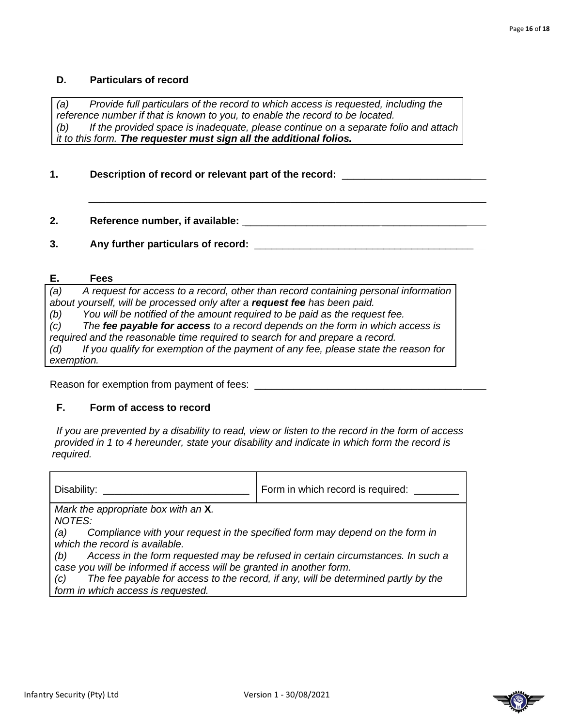### **D. Particulars of record**

*(a) Provide full particulars of the record to which access is requested, including the reference number if that is known to you, to enable the record to be located. (b) If the provided space is inadequate, please continue on a separate folio and attach it to this form. The requester must sign all the additional folios.*

 $\overline{\phantom{a}}$  ,  $\overline{\phantom{a}}$  ,  $\overline{\phantom{a}}$  ,  $\overline{\phantom{a}}$  ,  $\overline{\phantom{a}}$  ,  $\overline{\phantom{a}}$  ,  $\overline{\phantom{a}}$  ,  $\overline{\phantom{a}}$  ,  $\overline{\phantom{a}}$  ,  $\overline{\phantom{a}}$  ,  $\overline{\phantom{a}}$  ,  $\overline{\phantom{a}}$  ,  $\overline{\phantom{a}}$  ,  $\overline{\phantom{a}}$  ,  $\overline{\phantom{a}}$  ,  $\overline{\phantom{a}}$ 

### **1. Description of record or relevant part of the record:** \_\_\_\_\_\_\_\_\_\_\_\_\_\_\_\_\_\_\_\_\_\_\_

**2. Reference number, if available:** \_\_\_\_\_\_\_\_\_\_\_\_\_\_\_\_\_\_\_\_\_\_\_\_ \_\_\_\_\_\_\_\_\_\_\_\_\_\_\_

**3.** Any further particulars of record:  $\blacksquare$ 

#### **E. Fees**

*(a) A request for access to a record, other than record containing personal information about yourself, will be processed only after a request fee has been paid. (b) You will be notified of the amount required to be paid as the request fee. (c) The fee payable for access to a record depends on the form in which access is required and the reasonable time required to search for and prepare a record. (d) If you qualify for exemption of the payment of any fee, please state the reason for exemption.*

Reason for exemption from payment of fees: \_\_\_\_\_\_\_\_\_\_\_\_\_\_\_\_\_\_\_\_\_\_\_\_\_\_\_\_\_\_\_\_\_\_\_\_\_

### **F. Form of access to record**

*If you are prevented by a disability to read, view or listen to the record in the form of access provided in 1 to 4 hereunder, state your disability and indicate in which form the record is required.*

| Disability:                                                                            | Form in which record is required:                                                  |  |
|----------------------------------------------------------------------------------------|------------------------------------------------------------------------------------|--|
| Mark the appropriate box with an X.                                                    |                                                                                    |  |
| <b>NOTES:</b>                                                                          |                                                                                    |  |
| Compliance with your request in the specified form may depend on the form in<br>(a)    |                                                                                    |  |
| which the record is available.                                                         |                                                                                    |  |
| Access in the form requested may be refused in certain circumstances. In such a<br>(b) |                                                                                    |  |
| case you will be informed if access will be granted in another form.                   |                                                                                    |  |
| (C)                                                                                    | The fee payable for access to the record, if any, will be determined partly by the |  |
| form in which access is requested.                                                     |                                                                                    |  |

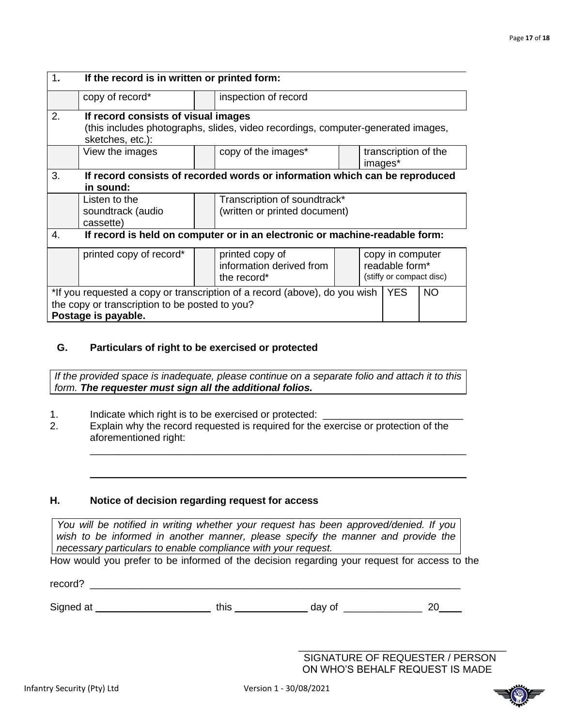| 1.                                                                                                                                                      | If the record is in written or printed form:                                                                                                |  |                                                               |                                                                |         |                      |           |
|---------------------------------------------------------------------------------------------------------------------------------------------------------|---------------------------------------------------------------------------------------------------------------------------------------------|--|---------------------------------------------------------------|----------------------------------------------------------------|---------|----------------------|-----------|
|                                                                                                                                                         | copy of record*                                                                                                                             |  | inspection of record                                          |                                                                |         |                      |           |
| 2.                                                                                                                                                      | If record consists of visual images<br>(this includes photographs, slides, video recordings, computer-generated images,<br>sketches, etc.): |  |                                                               |                                                                |         |                      |           |
|                                                                                                                                                         | View the images                                                                                                                             |  | copy of the images*                                           |                                                                | images* | transcription of the |           |
| 3.                                                                                                                                                      | If record consists of recorded words or information which can be reproduced<br>in sound:                                                    |  |                                                               |                                                                |         |                      |           |
|                                                                                                                                                         | Listen to the<br>soundtrack (audio<br>cassette)                                                                                             |  | Transcription of soundtrack*<br>(written or printed document) |                                                                |         |                      |           |
| 4.                                                                                                                                                      | If record is held on computer or in an electronic or machine-readable form:                                                                 |  |                                                               |                                                                |         |                      |           |
|                                                                                                                                                         | printed copy of record*                                                                                                                     |  | printed copy of<br>information derived from<br>the record*    | copy in computer<br>readable form*<br>(stiffy or compact disc) |         |                      |           |
| *If you requested a copy or transcription of a record (above), do you wish YES<br>the copy or transcription to be posted to you?<br>Postage is payable. |                                                                                                                                             |  |                                                               |                                                                |         |                      | <b>NO</b> |

### **G. Particulars of right to be exercised or protected**

*If the provided space is inadequate, please continue on a separate folio and attach it to this form. The requester must sign all the additional folios.*

- 1. Indicate which right is to be exercised or protected: \_\_\_\_\_\_\_\_\_\_\_\_\_\_\_\_\_\_\_\_\_\_\_
- 2. Explain why the record requested is required for the exercise or protection of the aforementioned right:

\_\_\_\_\_\_\_\_\_\_\_\_\_\_\_\_\_\_\_\_\_\_\_\_\_\_\_\_\_\_\_\_\_\_\_\_\_\_\_\_\_\_\_\_\_\_\_\_\_\_\_\_\_\_\_\_\_\_\_\_\_\_\_\_\_\_\_

 $\_$  . The contribution of the contribution of  $\mathcal{L}_1$  ,  $\mathcal{L}_2$  ,  $\mathcal{L}_3$  ,  $\mathcal{L}_4$  ,  $\mathcal{L}_5$  ,  $\mathcal{L}_6$  ,  $\mathcal{L}_7$  ,  $\mathcal{L}_8$  ,  $\mathcal{L}_9$  ,  $\mathcal{L}_1$  ,  $\mathcal{L}_2$  ,  $\mathcal{L}_3$  ,  $\mathcal{L}_5$  ,  $\mathcal{L}_7$  ,  $\mathcal{L}_$ 

### **H. Notice of decision regarding request for access**

record? \_\_\_\_\_\_\_\_\_\_\_\_\_\_\_\_\_\_\_\_\_\_\_\_\_\_\_\_\_\_\_\_\_\_\_\_\_\_\_\_\_\_\_\_\_\_\_\_\_\_\_\_\_\_\_\_\_\_\_\_\_\_\_\_\_\_

*You will be notified in writing whether your request has been approved/denied. If you*  wish to be informed in another manner, please specify the manner and provide the *necessary particulars to enable compliance with your request.*

How would you prefer to be informed of the decision regarding your request for access to the

Signed at \_\_\_\_\_\_\_\_\_\_\_\_\_\_\_\_\_\_\_\_\_\_\_\_\_\_\_\_this \_\_\_\_\_\_\_\_\_\_\_\_\_\_\_\_\_ day of \_\_\_\_\_\_\_\_\_\_\_\_\_\_\_\_\_\_\_\_\_\_ 20\_\_\_\_\_

SIGNATURE OF REQUESTER / PERSON ON WHO'S BEHALF REQUEST IS MADE

\_\_\_\_\_\_\_\_\_\_\_\_\_\_\_\_\_\_\_\_\_\_\_\_\_\_\_\_\_\_\_\_\_\_\_\_\_